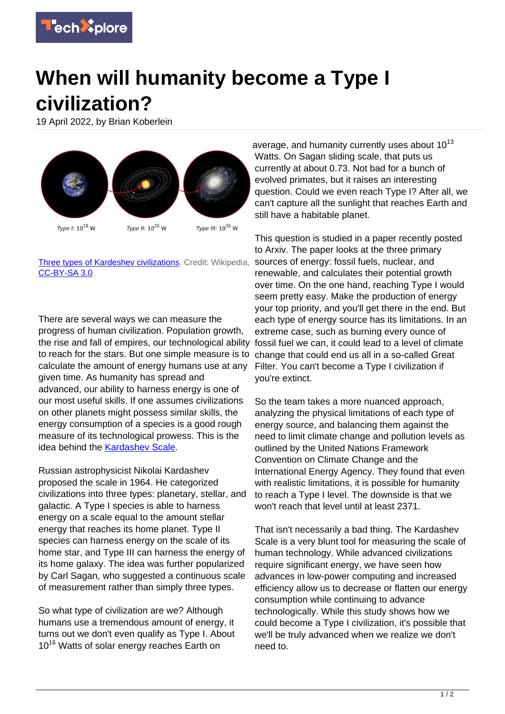

## **When will humanity become a Type I civilization?**

19 April 2022, by Brian Koberlein



## [Three types of Kardeshev civilizations.](https://en.wikipedia.org/wiki/Kardashev_scale#/media/File:Consommations_%C3%A9nerg%C3%A9tiques_des_trois_types_de_l) Credit: Wikipedia, [CC-BY-SA 3.0](https://creativecommons.org/licenses/by-sa/3.0/)

There are several ways we can measure the progress of human civilization. Population growth, the rise and fall of empires, our technological ability to reach for the stars. But one simple measure is to calculate the amount of energy humans use at any given time. As humanity has spread and advanced, our ability to harness energy is one of our most useful skills. If one assumes civilizations on other planets might possess similar skills, the energy consumption of a species is a good rough measure of its technological prowess. This is the idea behind the [Kardashev Scale.](https://briankoberlein.com/blog/anybody-out-there/)

Russian astrophysicist Nikolai Kardashev proposed the scale in 1964. He categorized civilizations into three types: planetary, stellar, and galactic. A Type I species is able to harness energy on a scale equal to the amount stellar energy that reaches its home planet. Type II species can harness energy on the scale of its home star, and Type III can harness the energy of its home galaxy. The idea was further popularized by Carl Sagan, who suggested a continuous scale of measurement rather than simply three types.

So what type of civilization are we? Although humans use a tremendous amount of energy, it turns out we don't even qualify as Type I. About 10<sup>16</sup> Watts of solar energy reaches Earth on

average, and humanity currently uses about  $10^{13}$ Watts. On Sagan sliding scale, that puts us currently at about 0.73. Not bad for a bunch of evolved primates, but it raises an interesting question. Could we even reach Type I? After all, we can't capture all the sunlight that reaches Earth and still have a habitable planet.

This question is studied in a paper recently posted to Arxiv. The paper looks at the three primary sources of energy: fossil fuels, nuclear, and renewable, and calculates their potential growth over time. On the one hand, reaching Type I would seem pretty easy. Make the production of energy your top priority, and you'll get there in the end. But each type of energy source has its limitations. In an extreme case, such as burning every ounce of fossil fuel we can, it could lead to a level of climate change that could end us all in a so-called Great Filter. You can't become a Type I civilization if you're extinct.

So the team takes a more nuanced approach, analyzing the physical limitations of each type of energy source, and balancing them against the need to limit climate change and pollution levels as outlined by the United Nations Framework Convention on Climate Change and the International Energy Agency. They found that even with realistic limitations, it is possible for humanity to reach a Type I level. The downside is that we won't reach that level until at least 2371.

That isn't necessarily a bad thing. The Kardashev Scale is a very blunt tool for measuring the scale of human technology. While advanced civilizations require significant energy, we have seen how advances in low-power computing and increased efficiency allow us to decrease or flatten our energy consumption while continuing to advance technologically. While this study shows how we could become a Type I civilization, it's possible that we'll be truly advanced when we realize we don't need to.